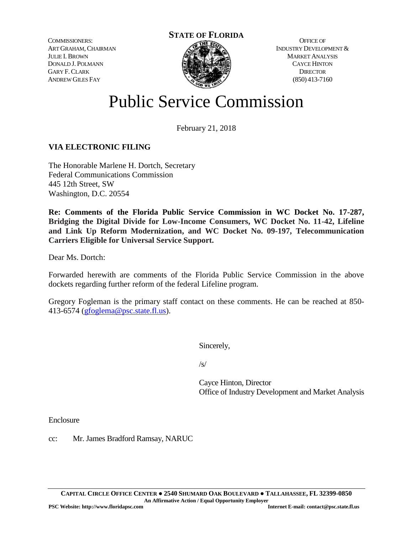COMMISSIONERS: ART GRAHAM, CHAIRMAN JULIE I.BROWN DONALD J. POLMANN GARY F.CLARK ANDREW GILES FAY



OFFICE OF INDUSTRY DEVELOPMENT & MARKET ANALYSIS CAYCE HINTON **DIRECTOR** (850) 413-7160

# Public Service Commission

February 21, 2018

# **VIA ELECTRONIC FILING**

The Honorable Marlene H. Dortch, Secretary Federal Communications Commission 445 12th Street, SW Washington, D.C. 20554

**Re: Comments of the Florida Public Service Commission in WC Docket No. 17-287, Bridging the Digital Divide for Low-Income Consumers, WC Docket No. 11-42, Lifeline and Link Up Reform Modernization, and WC Docket No. 09-197, Telecommunication Carriers Eligible for Universal Service Support.**

Dear Ms. Dortch:

Forwarded herewith are comments of the Florida Public Service Commission in the above dockets regarding further reform of the federal Lifeline program.

Gregory Fogleman is the primary staff contact on these comments. He can be reached at 850- 413-6574 [\(gfoglema@psc.state.fl.us\)](mailto:gfoglema@psc.state.fl.us).

Sincerely,

/s/

Cayce Hinton, Director Office of Industry Development and Market Analysis

Enclosure

cc: Mr. James Bradford Ramsay, NARUC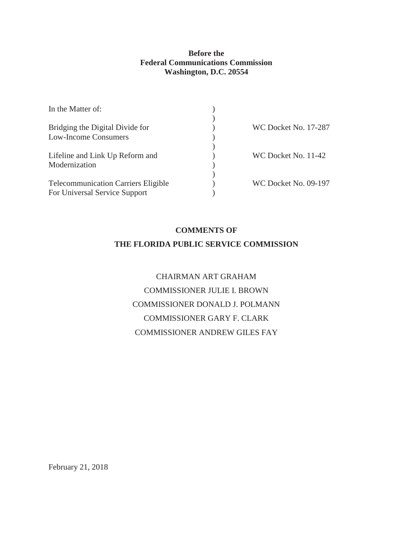# **Before the Federal Communications Commission Washington, D.C. 20554**

| In the Matter of:                          |                      |
|--------------------------------------------|----------------------|
|                                            |                      |
| Bridging the Digital Divide for            | WC Docket No. 17-287 |
| <b>Low-Income Consumers</b>                |                      |
|                                            |                      |
| Lifeline and Link Up Reform and            | WC Docket No. 11-42  |
| Modernization                              |                      |
|                                            |                      |
| <b>Telecommunication Carriers Eligible</b> | WC Docket No. 09-197 |
| For Universal Service Support              |                      |
|                                            |                      |

# **COMMENTS OF THE FLORIDA PUBLIC SERVICE COMMISSION**

CHAIRMAN ART GRAHAM COMMISSIONER JULIE I. BROWN COMMISSIONER DONALD J. POLMANN COMMISSIONER GARY F. CLARK COMMISSIONER ANDREW GILES FAY

February 21, 2018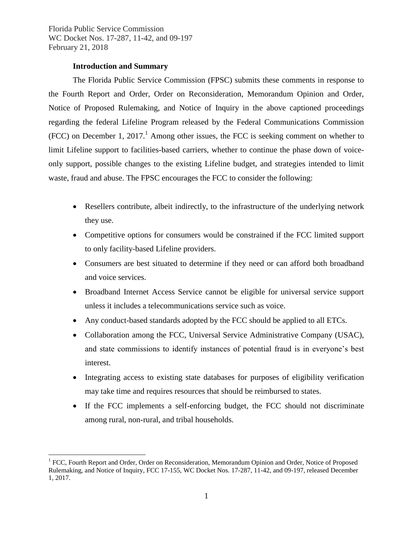# **Introduction and Summary**

 $\overline{a}$ 

The Florida Public Service Commission (FPSC) submits these comments in response to the Fourth Report and Order, Order on Reconsideration, Memorandum Opinion and Order, Notice of Proposed Rulemaking, and Notice of Inquiry in the above captioned proceedings regarding the federal Lifeline Program released by the Federal Communications Commission (FCC) on December 1, 2017.<sup>1</sup> Among other issues, the FCC is seeking comment on whether to limit Lifeline support to facilities-based carriers, whether to continue the phase down of voiceonly support, possible changes to the existing Lifeline budget, and strategies intended to limit waste, fraud and abuse. The FPSC encourages the FCC to consider the following:

- Resellers contribute, albeit indirectly, to the infrastructure of the underlying network they use.
- Competitive options for consumers would be constrained if the FCC limited support to only facility-based Lifeline providers.
- Consumers are best situated to determine if they need or can afford both broadband and voice services.
- Broadband Internet Access Service cannot be eligible for universal service support unless it includes a telecommunications service such as voice.
- Any conduct-based standards adopted by the FCC should be applied to all ETCs.
- Collaboration among the FCC, Universal Service Administrative Company (USAC), and state commissions to identify instances of potential fraud is in everyone's best interest.
- Integrating access to existing state databases for purposes of eligibility verification may take time and requires resources that should be reimbursed to states.
- If the FCC implements a self-enforcing budget, the FCC should not discriminate among rural, non-rural, and tribal households.

<sup>&</sup>lt;sup>1</sup> FCC, Fourth Report and Order, Order on Reconsideration, Memorandum Opinion and Order, Notice of Proposed Rulemaking, and Notice of Inquiry, FCC 17-155, WC Docket Nos. 17-287, 11-42, and 09-197, released December 1, 2017.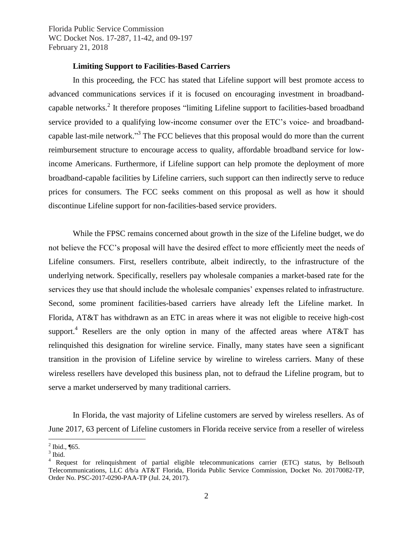# **Limiting Support to Facilities-Based Carriers**

In this proceeding, the FCC has stated that Lifeline support will best promote access to advanced communications services if it is focused on encouraging investment in broadbandcapable networks.<sup>2</sup> It therefore proposes "limiting Lifeline support to facilities-based broadband service provided to a qualifying low-income consumer over the ETC's voice- and broadbandcapable last-mile network."<sup>3</sup> The FCC believes that this proposal would do more than the current reimbursement structure to encourage access to quality, affordable broadband service for lowincome Americans. Furthermore, if Lifeline support can help promote the deployment of more broadband-capable facilities by Lifeline carriers, such support can then indirectly serve to reduce prices for consumers. The FCC seeks comment on this proposal as well as how it should discontinue Lifeline support for non-facilities-based service providers.

While the FPSC remains concerned about growth in the size of the Lifeline budget, we do not believe the FCC's proposal will have the desired effect to more efficiently meet the needs of Lifeline consumers. First, resellers contribute, albeit indirectly, to the infrastructure of the underlying network. Specifically, resellers pay wholesale companies a market-based rate for the services they use that should include the wholesale companies' expenses related to infrastructure. Second, some prominent facilities-based carriers have already left the Lifeline market. In Florida, AT&T has withdrawn as an ETC in areas where it was not eligible to receive high-cost support.<sup>4</sup> Resellers are the only option in many of the affected areas where AT&T has relinquished this designation for wireline service. Finally, many states have seen a significant transition in the provision of Lifeline service by wireline to wireless carriers. Many of these wireless resellers have developed this business plan, not to defraud the Lifeline program, but to serve a market underserved by many traditional carriers.

In Florida, the vast majority of Lifeline customers are served by wireless resellers. As of June 2017, 63 percent of Lifeline customers in Florida receive service from a reseller of wireless

 $^2$  Ibid., ¶65.

 $3$  Ibid.

<sup>&</sup>lt;sup>4</sup> Request for relinquishment of partial eligible telecommunications carrier (ETC) status, by Bellsouth Telecommunications, LLC d/b/a AT&T Florida, Florida Public Service Commission, Docket No. 20170082-TP, Order No. PSC-2017-0290-PAA-TP (Jul. 24, 2017).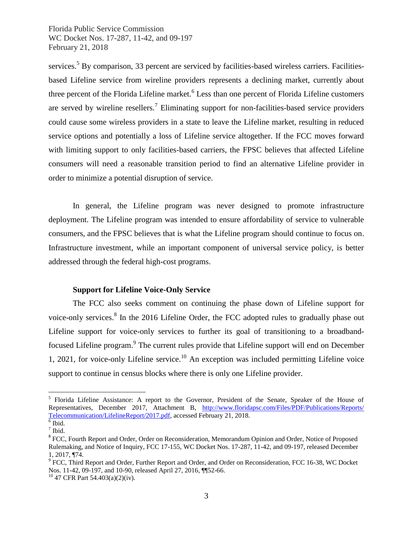services.<sup>5</sup> By comparison, 33 percent are serviced by facilities-based wireless carriers. Facilitiesbased Lifeline service from wireline providers represents a declining market, currently about three percent of the Florida Lifeline market.<sup>6</sup> Less than one percent of Florida Lifeline customers are served by wireline resellers.<sup>7</sup> Eliminating support for non-facilities-based service providers could cause some wireless providers in a state to leave the Lifeline market, resulting in reduced service options and potentially a loss of Lifeline service altogether. If the FCC moves forward with limiting support to only facilities-based carriers, the FPSC believes that affected Lifeline consumers will need a reasonable transition period to find an alternative Lifeline provider in order to minimize a potential disruption of service.

In general, the Lifeline program was never designed to promote infrastructure deployment. The Lifeline program was intended to ensure affordability of service to vulnerable consumers, and the FPSC believes that is what the Lifeline program should continue to focus on. Infrastructure investment, while an important component of universal service policy, is better addressed through the federal high-cost programs.

# **Support for Lifeline Voice-Only Service**

The FCC also seeks comment on continuing the phase down of Lifeline support for voice-only services.<sup>8</sup> In the 2016 Lifeline Order, the FCC adopted rules to gradually phase out Lifeline support for voice-only services to further its goal of transitioning to a broadbandfocused Lifeline program.<sup>9</sup> The current rules provide that Lifeline support will end on December 1, 2021, for voice-only Lifeline service.<sup>10</sup> An exception was included permitting Lifeline voice support to continue in census blocks where there is only one Lifeline provider.

<sup>&</sup>lt;sup>5</sup> Florida Lifeline Assistance: A report to the Governor, President of the Senate, Speaker of the House of Representatives, December 2017, Attachment B, [http://www.floridapsc.com/Files/PDF/Publications/Reports/](http://www.floridapsc.com/Files/PDF/Publications/Reports/Telecommunication/LifelineReport/2017.pdf)  [Telecommunication/LifelineReport/2017.pdf,](http://www.floridapsc.com/Files/PDF/Publications/Reports/Telecommunication/LifelineReport/2017.pdf) accessed February 21, 2018.

 $6$  Ibid.  $<sup>7</sup>$  Ibid.</sup>

<sup>&</sup>lt;sup>8</sup> FCC, Fourth Report and Order, Order on Reconsideration, Memorandum Opinion and Order, Notice of Proposed Rulemaking, and Notice of Inquiry, FCC 17-155, WC Docket Nos. 17-287, 11-42, and 09-197, released December 1, 2017, ¶74.

<sup>&</sup>lt;sup>9</sup> FCC, Third Report and Order, Further Report and Order, and Order on Reconsideration, FCC 16-38, WC Docket Nos. 11-42, 09-197, and 10-90, released April 27, 2016, ¶¶52-66.

<sup>10</sup> 47 CFR Part 54.403(a)(2)(iv).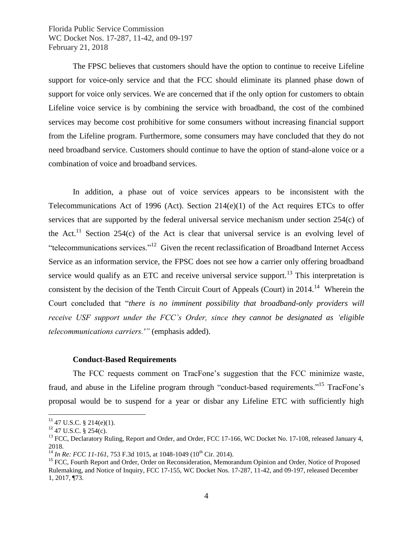The FPSC believes that customers should have the option to continue to receive Lifeline support for voice-only service and that the FCC should eliminate its planned phase down of support for voice only services. We are concerned that if the only option for customers to obtain Lifeline voice service is by combining the service with broadband, the cost of the combined services may become cost prohibitive for some consumers without increasing financial support from the Lifeline program. Furthermore, some consumers may have concluded that they do not need broadband service. Customers should continue to have the option of stand-alone voice or a combination of voice and broadband services.

In addition, a phase out of voice services appears to be inconsistent with the Telecommunications Act of 1996 (Act). Section  $214(e)(1)$  of the Act requires ETCs to offer services that are supported by the federal universal service mechanism under section 254(c) of the Act.<sup>11</sup> Section 254(c) of the Act is clear that universal service is an evolving level of "telecommunications services."<sup>12</sup> Given the recent reclassification of Broadband Internet Access Service as an information service, the FPSC does not see how a carrier only offering broadband service would qualify as an ETC and receive universal service support.<sup>13</sup> This interpretation is consistent by the decision of the Tenth Circuit Court of Appeals (Court) in  $2014$ <sup>14</sup> Wherein the Court concluded that "*there is no imminent possibility that broadband-only providers will receive USF support under the FCC's Order, since they cannot be designated as 'eligible telecommunications carriers.'"* (emphasis added).

#### **Conduct-Based Requirements**

The FCC requests comment on TracFone's suggestion that the FCC minimize waste, fraud, and abuse in the Lifeline program through "conduct-based requirements."<sup>15</sup> TracFone's proposal would be to suspend for a year or disbar any Lifeline ETC with sufficiently high

 $11$  47 U.S.C. § 214(e)(1).

 $12$  47 U.S.C. § 254(c).

<sup>&</sup>lt;sup>13</sup> FCC, Declaratory Ruling, Report and Order, and Order, FCC 17-166, WC Docket No. 17-108, released January 4, 2018.

<sup>&</sup>lt;sup>14</sup> *In Re: FCC 11-161, 753 F.3d 1015, at 1048-1049 (10<sup>th</sup> Cir. 2014).* 

<sup>&</sup>lt;sup>15</sup> FCC, Fourth Report and Order, Order on Reconsideration, Memorandum Opinion and Order, Notice of Proposed Rulemaking, and Notice of Inquiry, FCC 17-155, WC Docket Nos. 17-287, 11-42, and 09-197, released December 1, 2017, ¶73.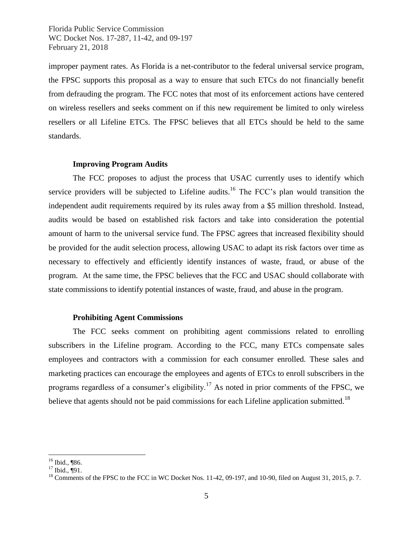improper payment rates. As Florida is a net-contributor to the federal universal service program, the FPSC supports this proposal as a way to ensure that such ETCs do not financially benefit from defrauding the program. The FCC notes that most of its enforcement actions have centered on wireless resellers and seeks comment on if this new requirement be limited to only wireless resellers or all Lifeline ETCs. The FPSC believes that all ETCs should be held to the same standards.

#### **Improving Program Audits**

The FCC proposes to adjust the process that USAC currently uses to identify which service providers will be subjected to Lifeline audits.<sup>16</sup> The FCC's plan would transition the independent audit requirements required by its rules away from a \$5 million threshold. Instead, audits would be based on established risk factors and take into consideration the potential amount of harm to the universal service fund. The FPSC agrees that increased flexibility should be provided for the audit selection process, allowing USAC to adapt its risk factors over time as necessary to effectively and efficiently identify instances of waste, fraud, or abuse of the program. At the same time, the FPSC believes that the FCC and USAC should collaborate with state commissions to identify potential instances of waste, fraud, and abuse in the program.

#### **Prohibiting Agent Commissions**

The FCC seeks comment on prohibiting agent commissions related to enrolling subscribers in the Lifeline program. According to the FCC, many ETCs compensate sales employees and contractors with a commission for each consumer enrolled. These sales and marketing practices can encourage the employees and agents of ETCs to enroll subscribers in the programs regardless of a consumer's eligibility.<sup>17</sup> As noted in prior comments of the FPSC, we believe that agents should not be paid commissions for each Lifeline application submitted.<sup>18</sup>

<sup>16</sup> Ibid., ¶86.

<sup>17</sup> Ibid., ¶91.

<sup>&</sup>lt;sup>18</sup> Comments of the FPSC to the FCC in WC Docket Nos. 11-42, 09-197, and 10-90, filed on August 31, 2015, p. 7.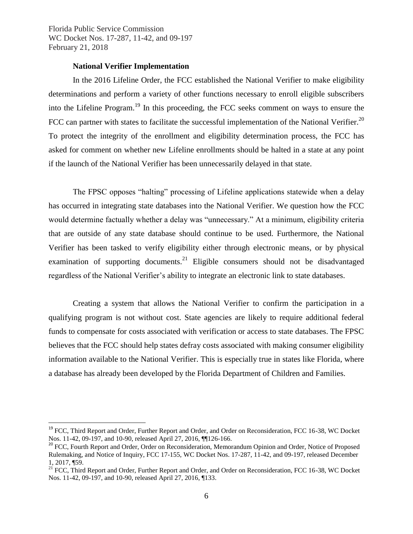$\overline{a}$ 

### **National Verifier Implementation**

In the 2016 Lifeline Order, the FCC established the National Verifier to make eligibility determinations and perform a variety of other functions necessary to enroll eligible subscribers into the Lifeline Program.<sup>19</sup> In this proceeding, the FCC seeks comment on ways to ensure the FCC can partner with states to facilitate the successful implementation of the National Verifier.<sup>20</sup> To protect the integrity of the enrollment and eligibility determination process, the FCC has asked for comment on whether new Lifeline enrollments should be halted in a state at any point if the launch of the National Verifier has been unnecessarily delayed in that state.

The FPSC opposes "halting" processing of Lifeline applications statewide when a delay has occurred in integrating state databases into the National Verifier. We question how the FCC would determine factually whether a delay was "unnecessary." At a minimum, eligibility criteria that are outside of any state database should continue to be used. Furthermore, the National Verifier has been tasked to verify eligibility either through electronic means, or by physical examination of supporting documents.<sup>21</sup> Eligible consumers should not be disadvantaged regardless of the National Verifier's ability to integrate an electronic link to state databases.

Creating a system that allows the National Verifier to confirm the participation in a qualifying program is not without cost. State agencies are likely to require additional federal funds to compensate for costs associated with verification or access to state databases. The FPSC believes that the FCC should help states defray costs associated with making consumer eligibility information available to the National Verifier. This is especially true in states like Florida, where a database has already been developed by the Florida Department of Children and Families.

<sup>&</sup>lt;sup>19</sup> FCC. Third Report and Order, Further Report and Order, and Order on Reconsideration, FCC 16-38, WC Docket Nos. 11-42, 09-197, and 10-90, released April 27, 2016, ¶¶126-166.

<sup>&</sup>lt;sup>20</sup> FCC, Fourth Report and Order, Order on Reconsideration, Memorandum Opinion and Order, Notice of Proposed Rulemaking, and Notice of Inquiry, FCC 17-155, WC Docket Nos. 17-287, 11-42, and 09-197, released December 1, 2017, ¶59.

<sup>&</sup>lt;sup>21</sup> FCC, Third Report and Order, Further Report and Order, and Order on Reconsideration, FCC 16-38, WC Docket Nos. 11-42, 09-197, and 10-90, released April 27, 2016, ¶133.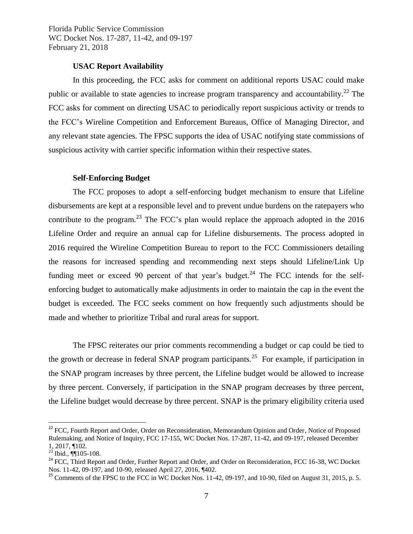# **USAC Report Availability**

In this proceeding, the FCC asks for comment on additional reports USAC could make public or available to state agencies to increase program transparency and accountability.<sup>22</sup> The FCC asks for comment on directing USAC to periodically report suspicious activity or trends to the FCC's Wireline Competition and Enforcement Bureaus, Office of Managing Director, and any relevant state agencies. The FPSC supports the idea of USAC notifying state commissions of suspicious activity with carrier specific information within their respective states.

#### **Self-Enforcing Budget**

The FCC proposes to adopt a self-enforcing budget mechanism to ensure that Lifeline disbursements are kept at a responsible level and to prevent undue burdens on the ratepayers who contribute to the program.<sup>23</sup> The FCC's plan would replace the approach adopted in the 2016 Lifeline Order and require an annual cap for Lifeline disbursements. The process adopted in 2016 required the Wireline Competition Bureau to report to the FCC Commissioners detailing the reasons for increased spending and recommending next steps should Lifeline/Link Up funding meet or exceed 90 percent of that year's budget.<sup>24</sup> The FCC intends for the selfenforcing budget to automatically make adjustments in order to maintain the cap in the event the budget is exceeded. The FCC seeks comment on how frequently such adjustments should be made and whether to prioritize Tribal and rural areas for support.

The FPSC reiterates our prior comments recommending a budget or cap could be tied to the growth or decrease in federal SNAP program participants.<sup>25</sup> For example, if participation in the SNAP program increases by three percent, the Lifeline budget would be allowed to increase by three percent. Conversely, if participation in the SNAP program decreases by three percent, the Lifeline budget would decrease by three percent. SNAP is the primary eligibility criteria used

<sup>&</sup>lt;sup>22</sup> FCC, Fourth Report and Order, Order on Reconsideration, Memorandum Opinion and Order, Notice of Proposed Rulemaking, and Notice of Inquiry, FCC 17-155, WC Docket Nos. 17-287, 11-42, and 09-197, released December 1, 2017, ¶102.

 $^{23}$  Ibid.,  $\P$ 105-108.

<sup>&</sup>lt;sup>24</sup> FCC, Third Report and Order, Further Report and Order, and Order on Reconsideration, FCC 16-38, WC Docket Nos. 11-42, 09-197, and 10-90, released April 27, 2016, ¶402.

 $^{25}$  Comments of the FPSC to the FCC in WC Docket Nos. 11-42, 09-197, and 10-90, filed on August 31, 2015, p. 5.